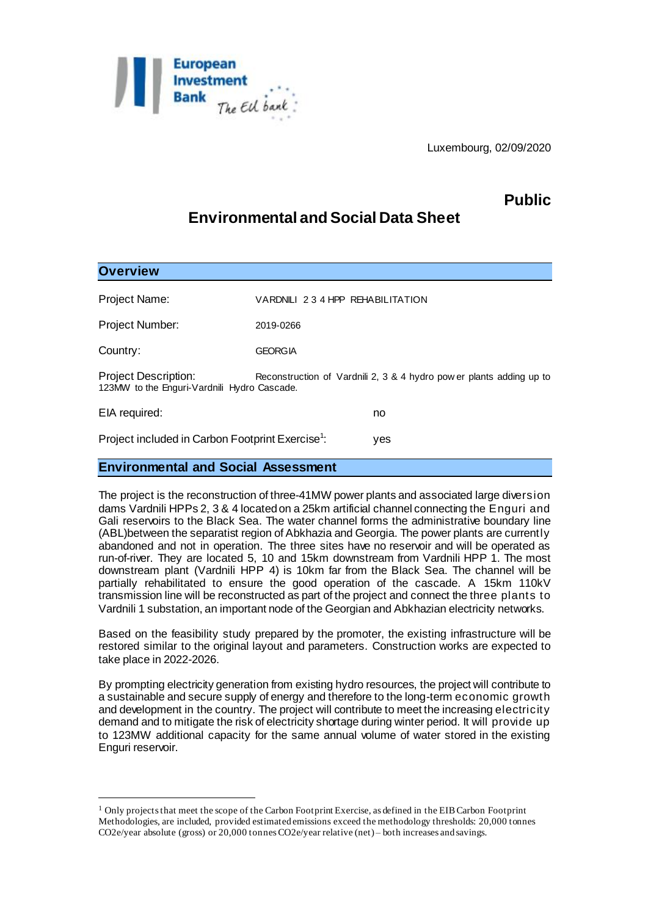

## **Public**

# **Environmental and Social Data Sheet**

| <b>Overview</b>                                                                                                                             |                                 |     |
|---------------------------------------------------------------------------------------------------------------------------------------------|---------------------------------|-----|
| Project Name:                                                                                                                               | VARDNILI 234 HPP REHABILITATION |     |
| Project Number:                                                                                                                             | 2019-0266                       |     |
| Country:                                                                                                                                    | <b>GEORGIA</b>                  |     |
| Project Description:<br>Reconstruction of Vardnili 2, 3 & 4 hydro pow er plants adding up to<br>123MW to the Enguri-Vardnili Hydro Cascade. |                                 |     |
| EIA required:                                                                                                                               |                                 | no  |
| Project included in Carbon Footprint Exercise <sup>1</sup> :                                                                                |                                 | yes |

## **Environmental and Social Assessment**

l

The project is the reconstruction of three-41MW power plants and associated large diversion dams Vardnili HPPs 2, 3 & 4 located on a 25km artificial channel connecting the Enguri and Gali reservoirs to the Black Sea. The water channel forms the administrative boundary line (ABL)between the separatist region of Abkhazia and Georgia. The power plants are currently abandoned and not in operation. The three sites have no reservoir and will be operated as run-of-river. They are located 5, 10 and 15km downstream from Vardnili HPP 1. The most downstream plant (Vardnili HPP 4) is 10km far from the Black Sea. The channel will be partially rehabilitated to ensure the good operation of the cascade. A 15km 110kV transmission line will be reconstructed as part of the project and connect the three plants to Vardnili 1 substation, an important node of the Georgian and Abkhazian electricity networks.

Based on the feasibility study prepared by the promoter, the existing infrastructure will be restored similar to the original layout and parameters. Construction works are expected to take place in 2022-2026.

By prompting electricity generation from existing hydro resources, the project will contribute to a sustainable and secure supply of energy and therefore to the long-term economic growth and development in the country. The project will contribute to meet the increasing electricity demand and to mitigate the risk of electricity shortage during winter period. It will provide up to 123MW additional capacity for the same annual volume of water stored in the existing Enguri reservoir.

<sup>1</sup> Only projects that meet the scope of the Carbon Footprint Exercise, as defined in the EIB Carbon Footprint Methodologies, are included, provided estimated emissions exceed the methodology thresholds: 20,000 tonnes CO2e/year absolute (gross) or 20,000 tonnes CO2e/year relative (net) – both increases and savings.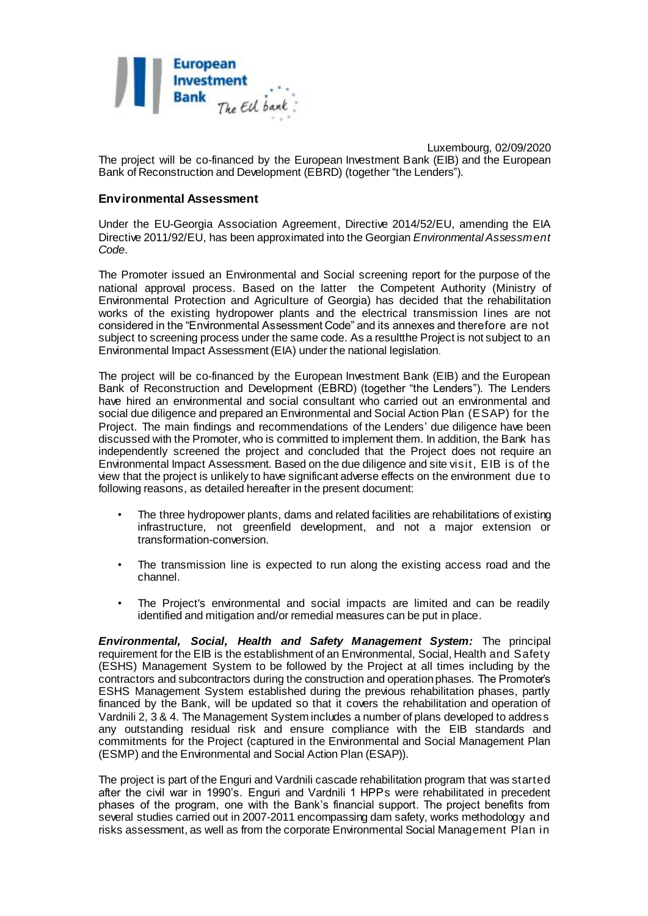

Luxembourg, 02/09/2020 The project will be co-financed by the European Investment Bank (EIB) and the European Bank of Reconstruction and Development (EBRD) (together "the Lenders").

#### **Environmental Assessment**

Under the EU-Georgia Association Agreement, Directive 2014/52/EU, amending the EIA Directive 2011/92/EU, has been approximated into the Georgian *Environmental Assessment Code*.

The Promoter issued an Environmental and Social screening report for the purpose of the national approval process. Based on the latter the Competent Authority (Ministry of Environmental Protection and Agriculture of Georgia) has decided that the rehabilitation works of the existing hydropower plants and the electrical transmission lines are not considered in the "Environmental Assessment Code" and its annexes and therefore are not subject to screening process under the same code. As a resultthe Project is not subject to an Environmental Impact Assessment (EIA) under the national legislation.

The project will be co-financed by the European Investment Bank (EIB) and the European Bank of Reconstruction and Development (EBRD) (together "the Lenders"). The Lenders have hired an environmental and social consultant who carried out an environmental and social due diligence and prepared an Environmental and Social Action Plan (ESAP) for the Project. The main findings and recommendations of the Lenders' due diligence have been discussed with the Promoter, who is committed to implement them. In addition, the Bank has independently screened the project and concluded that the Project does not require an Environmental Impact Assessment. Based on the due diligence and site visit, EIB is of the view that the project is unlikely to have significant adverse effects on the environment due to following reasons, as detailed hereafter in the present document:

- The three hydropower plants, dams and related facilities are rehabilitations of existing infrastructure, not greenfield development, and not a major extension or transformation-conversion.
- The transmission line is expected to run along the existing access road and the channel.
- The Project's environmental and social impacts are limited and can be readily identified and mitigation and/or remedial measures can be put in place.

*Environmental, Social, Health and Safety Management System:* The principal requirement for the EIB is the establishment of an Environmental, Social, Health and Safety (ESHS) Management System to be followed by the Project at all times including by the contractors and subcontractors during the construction and operation phases. The Promoter's ESHS Management System established during the previous rehabilitation phases, partly financed by the Bank, will be updated so that it covers the rehabilitation and operation of Vardnili 2, 3 & 4. The Management System includes a number of plans developed to address any outstanding residual risk and ensure compliance with the EIB standards and commitments for the Project (captured in the Environmental and Social Management Plan (ESMP) and the Environmental and Social Action Plan (ESAP)).

The project is part of the Enguri and Vardnili cascade rehabilitation program that was started after the civil war in 1990's. Enguri and Vardnili 1 HPPs were rehabilitated in precedent phases of the program, one with the Bank's financial support. The project benefits from several studies carried out in 2007-2011 encompassing dam safety, works methodology and risks assessment, as well as from the corporate Environmental Social Management Plan in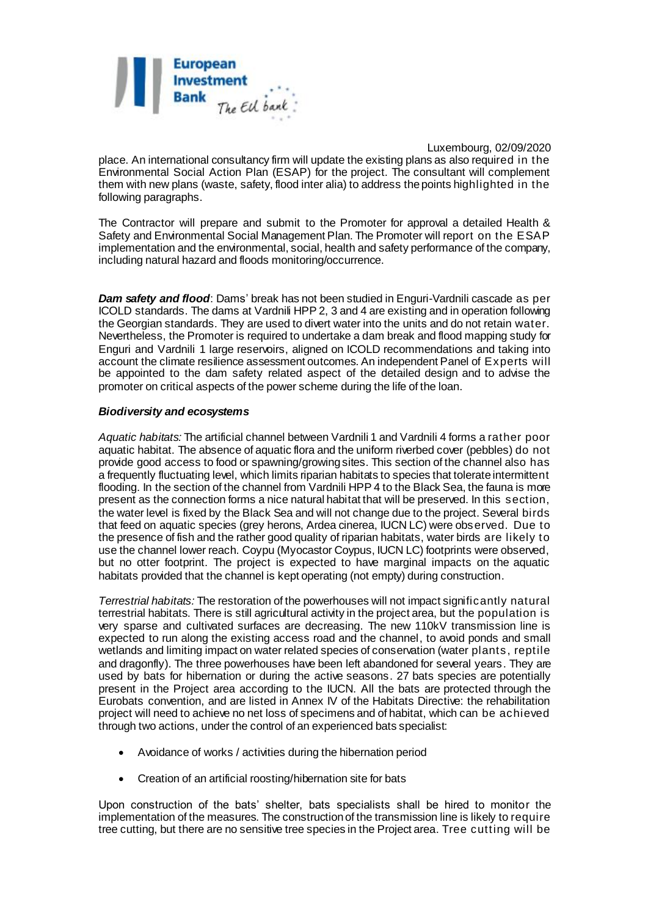

place. An international consultancy firm will update the existing plans as also required in the Environmental Social Action Plan (ESAP) for the project. The consultant will complement them with new plans (waste, safety, flood inter alia) to address the points highlighted in the following paragraphs.

The Contractor will prepare and submit to the Promoter for approval a detailed Health & Safety and Environmental Social Management Plan. The Promoter will report on the ESAP implementation and the environmental, social, health and safety performance of the company, including natural hazard and floods monitoring/occurrence.

*Dam safety and flood*: Dams' break has not been studied in Enguri-Vardnili cascade as per ICOLD standards. The dams at Vardnili HPP 2, 3 and 4 are existing and in operation following the Georgian standards. They are used to divert water into the units and do not retain water. Nevertheless, the Promoter is required to undertake a dam break and flood mapping study for Enguri and Vardnili 1 large reservoirs, aligned on ICOLD recommendations and taking into account the climate resilience assessment outcomes. An independent Panel of Experts will be appointed to the dam safety related aspect of the detailed design and to advise the promoter on critical aspects of the power scheme during the life of the loan.

#### *Biodiversity and ecosystems*

*Aquatic habitats:* The artificial channel between Vardnili 1 and Vardnili 4 forms a rather poor aquatic habitat. The absence of aquatic flora and the uniform riverbed cover (pebbles) do not provide good access to food or spawning/growing sites. This section of the channel also has a frequently fluctuating level, which limits riparian habitats to species that tolerate intermittent flooding. In the section of the channel from Vardnili HPP 4 to the Black Sea, the fauna is more present as the connection forms a nice natural habitat that will be preserved. In this section, the water level is fixed by the Black Sea and will not change due to the project. Several birds that feed on aquatic species (grey herons, Ardea cinerea, IUCN LC) were observed. Due to the presence of fish and the rather good quality of riparian habitats, water birds are likely to use the channel lower reach. Coypu (Myocastor Coypus, IUCN LC) footprints were observed, but no otter footprint. The project is expected to have marginal impacts on the aquatic habitats provided that the channel is kept operating (not empty) during construction.

*Terrestrial habitats:* The restoration of the powerhouses will not impact significantly natural terrestrial habitats. There is still agricultural activity in the project area, but the population is very sparse and cultivated surfaces are decreasing. The new 110kV transmission line is expected to run along the existing access road and the channel, to avoid ponds and small wetlands and limiting impact on water related species of conservation (water plants, reptile and dragonfly). The three powerhouses have been left abandoned for several years. They are used by bats for hibernation or during the active seasons. 27 bats species are potentially present in the Project area according to the IUCN. All the bats are protected through the Eurobats convention, and are listed in Annex IV of the Habitats Directive: the rehabilitation project will need to achieve no net loss of specimens and of habitat, which can be achieved through two actions, under the control of an experienced bats specialist:

- Avoidance of works / activities during the hibernation period
- Creation of an artificial roosting/hibernation site for bats

Upon construction of the bats' shelter, bats specialists shall be hired to monitor the implementation of the measures. The construction of the transmission line is likely to require tree cutting, but there are no sensitive tree species in the Project area. Tree cutting will be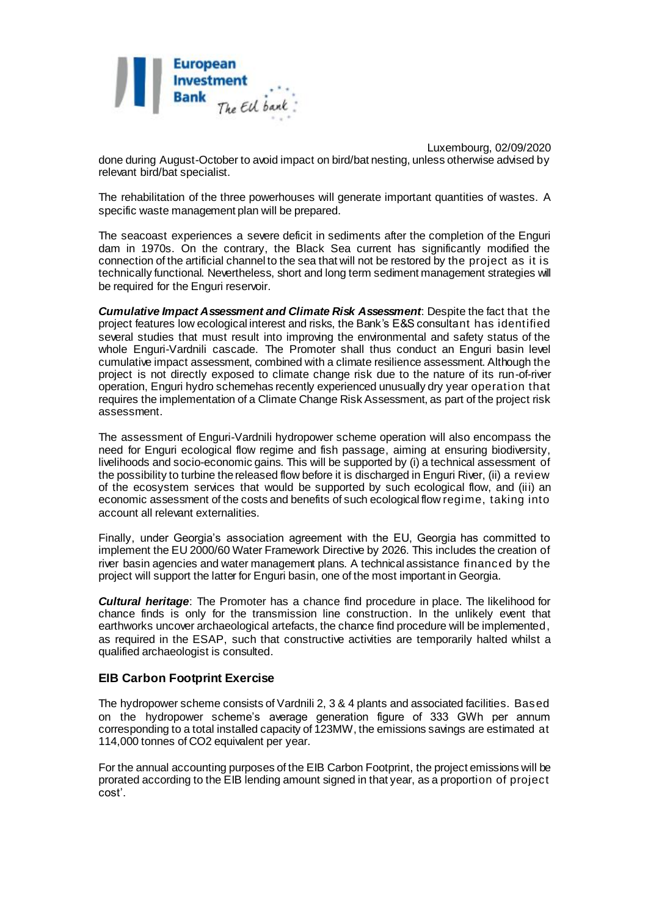

Luxembourg, 02/09/2020 done during August-October to avoid impact on bird/bat nesting, unless otherwise advised by relevant bird/bat specialist.

The rehabilitation of the three powerhouses will generate important quantities of wastes. A specific waste management plan will be prepared.

The seacoast experiences a severe deficit in sediments after the completion of the Enguri dam in 1970s. On the contrary, the Black Sea current has significantly modified the connection of the artificial channel to the sea that will not be restored by the project as it is technically functional. Nevertheless, short and long term sediment management strategies will be required for the Enguri reservoir.

*Cumulative Impact Assessment and Climate Risk Assessment*: Despite the fact that the project features low ecological interest and risks, the Bank's E&S consultant has identified several studies that must result into improving the environmental and safety status of the whole Enguri-Vardnili cascade. The Promoter shall thus conduct an Enguri basin level cumulative impact assessment, combined with a climate resilience assessment. Although the project is not directly exposed to climate change risk due to the nature of its run-of-river operation, Enguri hydro schemehas recently experienced unusually dry year operation that requires the implementation of a Climate Change Risk Assessment, as part of the project risk assessment.

The assessment of Enguri-Vardnili hydropower scheme operation will also encompass the need for Enguri ecological flow regime and fish passage, aiming at ensuring biodiversity, livelihoods and socio-economic gains. This will be supported by (i) a technical assessment of the possibility to turbine the released flow before it is discharged in Enguri River, (ii) a review of the ecosystem services that would be supported by such ecological flow, and (iii) an economic assessment of the costs and benefits of such ecological flow regime, taking into account all relevant externalities.

Finally, under Georgia's association agreement with the EU, Georgia has committed to implement the EU 2000/60 Water Framework Directive by 2026. This includes the creation of river basin agencies and water management plans. A technical assistance financed by the project will support the latter for Enguri basin, one of the most important in Georgia.

*Cultural heritage*: The Promoter has a chance find procedure in place. The likelihood for chance finds is only for the transmission line construction. In the unlikely event that earthworks uncover archaeological artefacts, the chance find procedure will be implemented, as required in the ESAP, such that constructive activities are temporarily halted whilst a qualified archaeologist is consulted.

### **EIB Carbon Footprint Exercise**

The hydropower scheme consists of Vardnili 2, 3 & 4 plants and associated facilities. Based on the hydropower scheme's average generation figure of 333 GWh per annum corresponding to a total installed capacity of 123MW, the emissions savings are estimated at 114,000 tonnes of CO2 equivalent per year.

For the annual accounting purposes of the EIB Carbon Footprint, the project emissions will be prorated according to the EIB lending amount signed in that year, as a proportion of project cost'.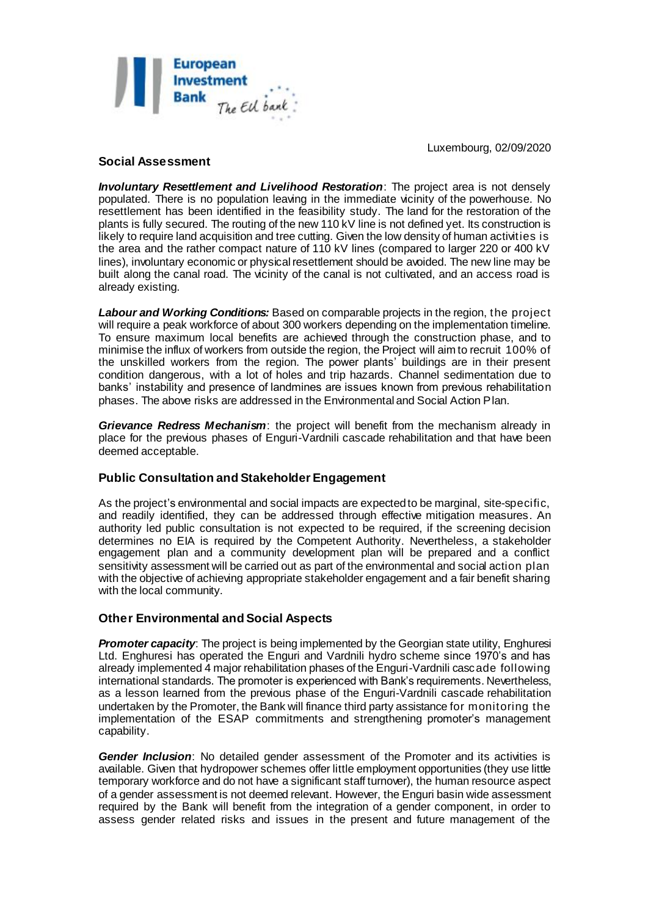

## **Social Assessment**

*Involuntary Resettlement and Livelihood Restoration*: The project area is not densely populated. There is no population leaving in the immediate vicinity of the powerhouse. No resettlement has been identified in the feasibility study. The land for the restoration of the plants is fully secured. The routing of the new 110 kV line is not defined yet. Its construction is likely to require land acquisition and tree cutting. Given the low density of human activities is the area and the rather compact nature of 110 kV lines (compared to larger 220 or 400 kV lines), involuntary economic or physical resettlement should be avoided. The new line may be built along the canal road. The vicinity of the canal is not cultivated, and an access road is already existing.

*Labour and Working Conditions:* Based on comparable projects in the region, the project will require a peak workforce of about 300 workers depending on the implementation timeline. To ensure maximum local benefits are achieved through the construction phase, and to minimise the influx of workers from outside the region, the Project will aim to recruit 100% of the unskilled workers from the region. The power plants' buildings are in their present condition dangerous, with a lot of holes and trip hazards. Channel sedimentation due to banks' instability and presence of landmines are issues known from previous rehabilitation phases. The above risks are addressed in the Environmental and Social Action Plan.

*Grievance Redress Mechanism*: the project will benefit from the mechanism already in place for the previous phases of Enguri-Vardnili cascade rehabilitation and that have been deemed acceptable.

### **Public Consultation and Stakeholder Engagement**

As the project's environmental and social impacts are expected to be marginal, site-specific, and readily identified, they can be addressed through effective mitigation measures. An authority led public consultation is not expected to be required, if the screening decision determines no EIA is required by the Competent Authority. Nevertheless, a stakeholder engagement plan and a community development plan will be prepared and a conflict sensitivity assessment will be carried out as part of the environmental and social action plan with the objective of achieving appropriate stakeholder engagement and a fair benefit sharing with the local community.

## **Other Environmental and Social Aspects**

*Promoter capacity:* The project is being implemented by the Georgian state utility, Enghuresi Ltd. Enghuresi has operated the Enguri and Vardnili hydro scheme since 1970's and has already implemented 4 major rehabilitation phases of the Enguri-Vardnili cascade following international standards. The promoter is experienced with Bank's requirements. Nevertheless, as a lesson learned from the previous phase of the Enguri-Vardnili cascade rehabilitation undertaken by the Promoter, the Bank will finance third party assistance for monitoring the implementation of the ESAP commitments and strengthening promoter's management capability.

*Gender Inclusion*: No detailed gender assessment of the Promoter and its activities is available. Given that hydropower schemes offer little employment opportunities (they use little temporary workforce and do not have a significant staff turnover), the human resource aspect of a gender assessment is not deemed relevant. However, the Enguri basin wide assessment required by the Bank will benefit from the integration of a gender component, in order to assess gender related risks and issues in the present and future management of the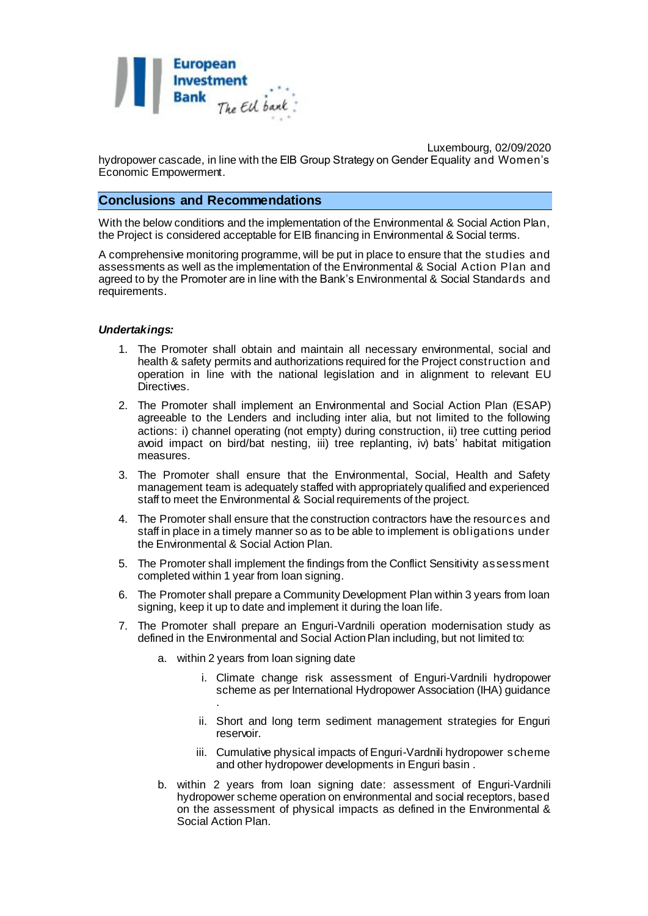

Luxembourg, 02/09/2020 hydropower cascade, in line with the EIB Group Strategy on Gender Equality and Women's Economic Empowerment.

### **Conclusions and Recommendations**

With the below conditions and the implementation of the Environmental & Social Action Plan, the Project is considered acceptable for EIB financing in Environmental & Social terms.

A comprehensive monitoring programme, will be put in place to ensure that the studies and assessments as well as the implementation of the Environmental & Social Action Plan and agreed to by the Promoter are in line with the Bank's Environmental & Social Standards and requirements.

#### *Undertakings:*

- 1. The Promoter shall obtain and maintain all necessary environmental, social and health & safety permits and authorizations required for the Project construction and operation in line with the national legislation and in alignment to relevant EU Directives.
- 2. The Promoter shall implement an Environmental and Social Action Plan (ESAP) agreeable to the Lenders and including inter alia, but not limited to the following actions: i) channel operating (not empty) during construction, ii) tree cutting period avoid impact on bird/bat nesting, iii) tree replanting, iv) bats' habitat mitigation measures.
- 3. The Promoter shall ensure that the Environmental, Social, Health and Safety management team is adequately staffed with appropriately qualified and experienced staff to meet the Environmental & Social requirements of the project.
- 4. The Promoter shall ensure that the construction contractors have the resources and staff in place in a timely manner so as to be able to implement is obligations under the Environmental & Social Action Plan.
- 5. The Promoter shall implement the findings from the Conflict Sensitivity assessment completed within 1 year from loan signing.
- 6. The Promoter shall prepare a Community Development Plan within 3 years from loan signing, keep it up to date and implement it during the loan life.
- 7. The Promoter shall prepare an Enguri-Vardnili operation modernisation study as defined in the Environmental and Social Action Plan including, but not limited to:
	- a. within 2 years from loan signing date
		- i. Climate change risk assessment of Enguri-Vardnili hydropower scheme as per International Hydropower Association (IHA) guidance .
		- ii. Short and long term sediment management strategies for Enguri reservoir.
		- iii. Cumulative physical impacts of Enguri-Vardnili hydropower scheme and other hydropower developments in Enguri basin .
	- b. within 2 years from loan signing date: assessment of Enguri-Vardnili hydropower scheme operation on environmental and social receptors, based on the assessment of physical impacts as defined in the Environmental & Social Action Plan.